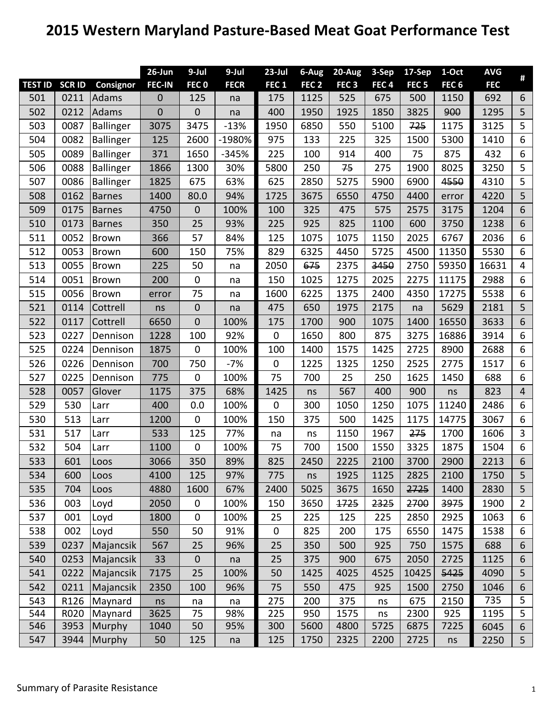## **2015 Western Maryland Pasture‐Based Meat Goat Performance Test**

|                |               |                  | $26$ -Jun        | $9-Jul$          | $9-Jul$     | $23$ -Jul        | 6-Aug            | 20-Aug           | 3-Sep            | 17-Sep           | 1-Oct            | <b>AVG</b> | $\pmb{\sharp}$ |
|----------------|---------------|------------------|------------------|------------------|-------------|------------------|------------------|------------------|------------------|------------------|------------------|------------|----------------|
| <b>TEST ID</b> | <b>SCR ID</b> | Consignor        | <b>FEC-IN</b>    | FEC <sub>0</sub> | <b>FECR</b> | FEC <sub>1</sub> | FEC <sub>2</sub> | FEC <sub>3</sub> | FEC <sub>4</sub> | FEC <sub>5</sub> | FEC <sub>6</sub> | <b>FEC</b> |                |
| 501            | 0211          | Adams            | $\boldsymbol{0}$ | 125              | na          | 175              | 1125             | 525              | 675              | 500              | 1150             | 692        | 6              |
| 502            | 0212          | Adams            | $\mathbf 0$      | $\boldsymbol{0}$ | na          | 400              | 1950             | 1925             | 1850             | 3825             | 900              | 1295       | 5              |
| 503            | 0087          | Ballinger        | 3075             | 3475             | $-13%$      | 1950             | 6850             | 550              | 5100             | 725              | 1175             | 3125       | 5              |
| 504            | 0082          | Ballinger        | 125              | 2600             | -1980%      | 975              | 133              | 225              | 325              | 1500             | 5300             | 1410       | 6              |
| 505            | 0089          | Ballinger        | 371              | 1650             | $-345%$     | 225              | 100              | 914              | 400              | 75               | 875              | 432        | 6              |
| 506            | 0088          | <b>Ballinger</b> | 1866             | 1300             | 30%         | 5800             | 250              | 75               | 275              | 1900             | 8025             | 3250       | 5              |
| 507            | 0086          | Ballinger        | 1825             | 675              | 63%         | 625              | 2850             | 5275             | 5900             | 6900             | 4550             | 4310       | 5              |
| 508            | 0162          | <b>Barnes</b>    | 1400             | 80.0             | 94%         | 1725             | 3675             | 6550             | 4750             | 4400             | error            | 4220       | 5              |
| 509            | 0175          | <b>Barnes</b>    | 4750             | $\boldsymbol{0}$ | 100%        | 100              | 325              | 475              | 575              | 2575             | 3175             | 1204       | $6\phantom{1}$ |
| 510            | 0173          | Barnes           | 350              | 25               | 93%         | 225              | 925              | 825              | 1100             | 600              | 3750             | 1238       | 6              |
| 511            | 0052          | Brown            | 366              | 57               | 84%         | 125              | 1075             | 1075             | 1150             | 2025             | 6767             | 2036       | 6              |
| 512            | 0053          | Brown            | 600              | 150              | 75%         | 829              | 6325             | 4450             | 5725             | 4500             | 11350            | 5530       | 6              |
| 513            | 0055          | Brown            | 225              | 50               | na          | 2050             | 675              | 2375             | 3450             | 2750             | 59350            | 16631      | 4              |
| 514            | 0051          | Brown            | 200              | $\pmb{0}$        | na          | 150              | 1025             | 1275             | 2025             | 2275             | 11175            | 2988       | 6              |
| 515            | 0056          | Brown            | error            | 75               | na          | 1600             | 6225             | 1375             | 2400             | 4350             | 17275            | 5538       | 6              |
| 521            | 0114          | Cottrell         | ns               | $\boldsymbol{0}$ | na          | 475              | 650              | 1975             | 2175             | na               | 5629             | 2181       | 5              |
| 522            | 0117          | Cottrell         | 6650             | $\mathbf 0$      | 100%        | 175              | 1700             | 900              | 1075             | 1400             | 16550            | 3633       | 6              |
| 523            | 0227          | Dennison         | 1228             | 100              | 92%         | $\mathbf 0$      | 1650             | 800              | 875              | 3275             | 16886            | 3914       | 6              |
| 525            | 0224          | Dennison         | 1875             | $\pmb{0}$        | 100%        | 100              | 1400             | 1575             | 1425             | 2725             | 8900             | 2688       | 6              |
| 526            | 0226          | Dennison         | 700              | 750              | $-7%$       | $\mathbf 0$      | 1225             | 1325             | 1250             | 2525             | 2775             | 1517       | 6              |
| 527            | 0225          | Dennison         | 775              | $\pmb{0}$        | 100%        | 75               | 700              | 25               | 250              | 1625             | 1450             | 688        | 6              |
| 528            | 0057          | Glover           | 1175             | 375              | 68%         | 1425             | ns               | 567              | 400              | 900              | ns               | 823        | $\overline{4}$ |
| 529            | 530           | Larr             | 400              | 0.0              | 100%        | $\boldsymbol{0}$ | 300              | 1050             | 1250             | 1075             | 11240            | 2486       | 6              |
| 530            | 513           | Larr             | 1200             | $\mathbf 0$      | 100%        | 150              | 375              | 500              | 1425             | 1175             | 14775            | 3067       | 6              |
| 531            | 517           | Larr             | 533              | 125              | 77%         | na               | ns               | 1150             | 1967             | 275              | 1700             | 1606       | 3              |
| 532            | 504           | Larr             | 1100             | $\pmb{0}$        | 100%        | 75               | 700              | 1500             | 1550             | 3325             | 1875             | 1504       | 6              |
| 533            | 601           | Loos             | 3066             | 350              | 89%         | 825              | 2450             | 2225             | 2100             | 3700             | 2900             | 2213       | 6              |
| 534            | 600           | Loos             | 4100             | 125              | 97%         | 775              | ns               | 1925             | 1125             | 2825             | 2100             | 1750       | 5              |
| 535            | 704           | Loos             | 4880             | 1600             | 67%         | 2400             | 5025             | 3675             | 1650             | 2725             | 1400             | 2830       | 5              |
| 536            | 003           | Loyd             | 2050             | $\mathbf 0$      | 100%        | 150              | 3650             | 1725             | 2325             | 2700             | 3975             | 1900       | $\overline{2}$ |
| 537            | 001           | Loyd             | 1800             | $\pmb{0}$        | 100%        | 25               | 225              | 125              | 225              | 2850             | 2925             | 1063       | 6              |
| 538            | 002           | Loyd             | 550              | 50               | 91%         | $\mathbf 0$      | 825              | 200              | 175              | 6550             | 1475             | 1538       | 6              |
| 539            | 0237          | Majancsik        | 567              | 25               | 96%         | 25               | 350              | 500              | 925              | 750              | 1575             | 688        | 6              |
| 540            | 0253          | Majancsik        | 33               | $\boldsymbol{0}$ | na          | 25               | 375              | 900              | 675              | 2050             | 2725             | 1125       | 6              |
| 541            | 0222          | Majancsik        | 7175             | 25               | 100%        | 50               | 1425             | 4025             | 4525             | 10425            | 5425             | 4090       | 5              |
| 542            | 0211          | Majancsik        | 2350             | 100              | 96%         | 75               | 550              | 475              | 925              | 1500             | 2750             | 1046       | $6\,$          |
| 543            | R126          | Maynard          | ns               | na               | na          | 275              | 200              | 375              | ns               | 675              | 2150             | 735        | 5              |
| 544            | R020          | Maynard          | 3625             | 75               | 98%         | 225              | 950              | 1575             | ns               | 2300             | 925              | 1195       | 5              |
| 546            | 3953          | Murphy           | 1040             | 50               | 95%         | 300              | 5600             | 4800             | 5725             | 6875             | 7225             | 6045       | 6              |
| 547            | 3944          | Murphy           | 50               | 125              | na          | 125              | 1750             | 2325             | 2200             | 2725             | ns               | 2250       | 5              |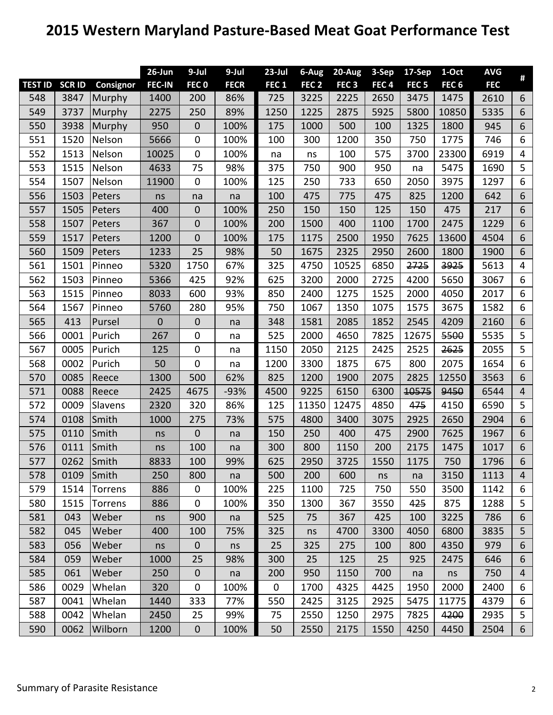## **2015 Western Maryland Pasture‐Based Meat Goat Performance Test**

|                |              |           | $26$ -Jun     | $9$ -Jul         | $9-Jul$     | $23$ -Jul        | 6-Aug            | 20-Aug           | 3-Sep            | 17-Sep           | 1-Oct            | <b>AVG</b> | #              |
|----------------|--------------|-----------|---------------|------------------|-------------|------------------|------------------|------------------|------------------|------------------|------------------|------------|----------------|
| <b>TEST ID</b> | <b>SCRID</b> | Consignor | <b>FEC-IN</b> | FEC <sub>0</sub> | <b>FECR</b> | FEC <sub>1</sub> | FEC <sub>2</sub> | FEC <sub>3</sub> | FEC <sub>4</sub> | FEC <sub>5</sub> | FEC <sub>6</sub> | <b>FEC</b> |                |
| 548            | 3847         | Murphy    | 1400          | 200              | 86%         | 725              | 3225             | 2225             | 2650             | 3475             | 1475             | 2610       | 6              |
| 549            | 3737         | Murphy    | 2275          | 250              | 89%         | 1250             | 1225             | 2875             | 5925             | 5800             | 10850            | 5335       | $6\phantom{1}$ |
| 550            | 3938         | Murphy    | 950           | $\boldsymbol{0}$ | 100%        | 175              | 1000             | 500              | 100              | 1325             | 1800             | 945        | $\sqrt{6}$     |
| 551            | 1520         | Nelson    | 5666          | $\pmb{0}$        | 100%        | 100              | 300              | 1200             | 350              | 750              | 1775             | 746        | 6              |
| 552            | 1513         | Nelson    | 10025         | $\mathbf 0$      | 100%        | na               | ns               | 100              | 575              | 3700             | 23300            | 6919       | $\overline{4}$ |
| 553            | 1515         | Nelson    | 4633          | 75               | 98%         | 375              | 750              | 900              | 950              | na               | 5475             | 1690       | 5              |
| 554            | 1507         | Nelson    | 11900         | $\mathbf 0$      | 100%        | 125              | 250              | 733              | 650              | 2050             | 3975             | 1297       | 6              |
| 556            | 1503         | Peters    | ns            | na               | na          | 100              | 475              | 775              | 475              | 825              | 1200             | 642        | 6              |
| 557            | 1505         | Peters    | 400           | $\pmb{0}$        | 100%        | 250              | 150              | 150              | 125              | 150              | 475              | 217        | 6              |
| 558            | 1507         | Peters    | 367           | $\mathbf 0$      | 100%        | 200              | 1500             | 400              | 1100             | 1700             | 2475             | 1229       | 6              |
| 559            | 1517         | Peters    | 1200          | 0                | 100%        | 175              | 1175             | 2500             | 1950             | 7625             | 13600            | 4504       | 6              |
| 560            | 1509         | Peters    | 1233          | 25               | 98%         | 50               | 1675             | 2325             | 2950             | 2600             | 1800             | 1900       | 6              |
| 561            | 1501         | Pinneo    | 5320          | 1750             | 67%         | 325              | 4750             | 10525            | 6850             | 2725             | 3925             | 5613       | 4              |
| 562            | 1503         | Pinneo    | 5366          | 425              | 92%         | 625              | 3200             | 2000             | 2725             | 4200             | 5650             | 3067       | 6              |
| 563            | 1515         | Pinneo    | 8033          | 600              | 93%         | 850              | 2400             | 1275             | 1525             | 2000             | 4050             | 2017       | 6              |
| 564            | 1567         | Pinneo    | 5760          | 280              | 95%         | 750              | 1067             | 1350             | 1075             | 1575             | 3675             | 1582       | 6              |
| 565            | 413          | Pursel    | $\mathbf 0$   | $\boldsymbol{0}$ | na          | 348              | 1581             | 2085             | 1852             | 2545             | 4209             | 2160       | 6              |
| 566            | 0001         | Purich    | 267           | $\mathbf 0$      | na          | 525              | 2000             | 4650             | 7825             | 12675            | 5500             | 5535       | 5              |
| 567            | 0005         | Purich    | 125           | $\mathbf 0$      | na          | 1150             | 2050             | 2125             | 2425             | 2525             | 2625             | 2055       | 5              |
| 568            | 0002         | Purich    | 50            | $\mathbf 0$      | na          | 1200             | 3300             | 1875             | 675              | 800              | 2075             | 1654       | 6              |
| 570            | 0085         | Reece     | 1300          | 500              | 62%         | 825              | 1200             | 1900             | 2075             | 2825             | 12550            | 3563       | 6              |
| 571            | 0088         | Reece     | 2425          | 4675             | $-93%$      | 4500             | 9225             | 6150             | 6300             | 10575            | 9450             | 6544       | $\overline{4}$ |
| 572            | 0009         | Slavens   | 2320          | 320              | 86%         | 125              | 11350            | 12475            | 4850             | 475              | 4150             | 6590       | 5              |
| 574            | 0108         | Smith     | 1000          | 275              | 73%         | 575              | 4800             | 3400             | 3075             | 2925             | 2650             | 2904       | $6\phantom{a}$ |
| 575            | 0110         | Smith     | ns            | $\overline{0}$   | na          | 150              | 250              | 400              | 475              | 2900             | 7625             | 1967       | $6\phantom{1}$ |
| 576            | 0111         | Smith     | ns            | 100              | na          | 300              | 800              | 1150             | 200              | 2175             | 1475             | 1017       | 6              |
| 577            | 0262         | Smith     | 8833          | 100              | 99%         | 625              | 2950             | 3725             | 1550             | 1175             | 750              | 1796       | 6              |
| 578            | 0109         | Smith     | 250           | 800              | na          | 500              | 200              | 600              | ns               | na               | 3150             | 1113       | 4              |
| 579            | 1514         | Torrens   | 886           | $\mathbf 0$      | 100%        | 225              | 1100             | 725              | 750              | 550              | 3500             | 1142       | 6              |
| 580            | 1515         | Torrens   | 886           | $\mathbf 0$      | 100%        | 350              | 1300             | 367              | 3550             | 425              | 875              | 1288       | 5              |
| 581            | 043          | Weber     | ns            | 900              | na          | 525              | 75               | 367              | 425              | 100              | 3225             | 786        | $6\phantom{1}$ |
| 582            | 045          | Weber     | 400           | 100              | 75%         | 325              | ns               | 4700             | 3300             | 4050             | 6800             | 3835       | 5              |
| 583            | 056          | Weber     | ns            | $\mathbf 0$      | ns          | 25               | 325              | 275              | 100              | 800              | 4350             | 979        | 6              |
| 584            | 059          | Weber     | 1000          | 25               | 98%         | 300              | 25               | 125              | 25               | 925              | 2475             | 646        | 6              |
| 585            | 061          | Weber     | 250           | $\mathbf 0$      | na          | 200              | 950              | 1150             | 700              | na               | ns               | 750        | $\overline{4}$ |
| 586            | 0029         | Whelan    | 320           | $\mathbf 0$      | 100%        | $\mathbf 0$      | 1700             | 4325             | 4425             | 1950             | 2000             | 2400       | 6              |
| 587            | 0041         | Whelan    | 1440          | 333              | 77%         | 550              | 2425             | 3125             | 2925             | 5475             | 11775            | 4379       | 6              |
| 588            | 0042         | Whelan    | 2450          | 25               | 99%         | 75               | 2550             | 1250             | 2975             | 7825             | 4200             | 2935       | 5              |
| 590            | 0062         | Wilborn   | 1200          | $\mathbf 0$      | 100%        | 50               | 2550             | 2175             | 1550             | 4250             | 4450             | 2504       | 6              |